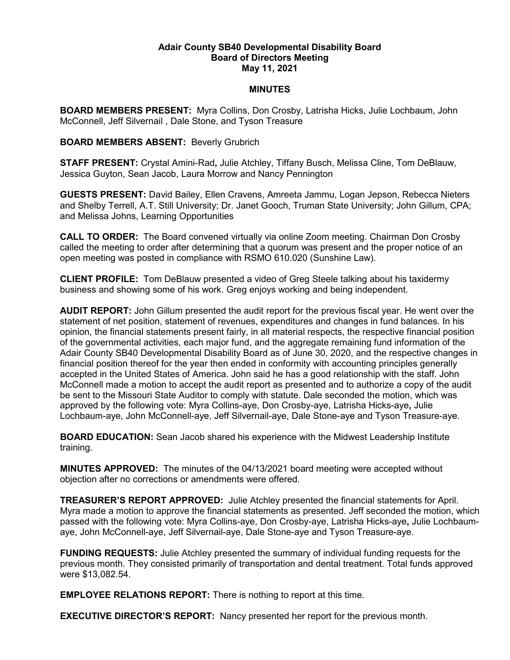## **Adair County SB40 Developmental Disability Board Board of Directors Meeting May 11, 2021**

## **MINUTES**

**BOARD MEMBERS PRESENT:** Myra Collins, Don Crosby, Latrisha Hicks, Julie Lochbaum, John McConnell, Jeff Silvernail , Dale Stone, and Tyson Treasure

## **BOARD MEMBERS ABSENT:** Beverly Grubrich

**STAFF PRESENT:** Crystal Amini-Rad**,** Julie Atchley, Tiffany Busch, Melissa Cline, Tom DeBlauw, Jessica Guyton, Sean Jacob, Laura Morrow and Nancy Pennington

**GUESTS PRESENT:** David Bailey, Ellen Cravens, Amreeta Jammu, Logan Jepson, Rebecca Nieters and Shelby Terrell, A.T. Still University; Dr. Janet Gooch, Truman State University; John Gillum, CPA; and Melissa Johns, Learning Opportunities

**CALL TO ORDER:** The Board convened virtually via online Zoom meeting. Chairman Don Crosby called the meeting to order after determining that a quorum was present and the proper notice of an open meeting was posted in compliance with RSMO 610.020 (Sunshine Law).

**CLIENT PROFILE:** Tom DeBlauw presented a video of Greg Steele talking about his taxidermy business and showing some of his work. Greg enjoys working and being independent.

**AUDIT REPORT:** John Gillum presented the audit report for the previous fiscal year. He went over the statement of net position, statement of revenues, expenditures and changes in fund balances. In his opinion, the financial statements present fairly, in all material respects, the respective financial position of the governmental activities, each major fund, and the aggregate remaining fund information of the Adair County SB40 Developmental Disability Board as of June 30, 2020, and the respective changes in financial position thereof for the year then ended in conformity with accounting principles generally accepted in the United States of America. John said he has a good relationship with the staff. John McConnell made a motion to accept the audit report as presented and to authorize a copy of the audit be sent to the Missouri State Auditor to comply with statute. Dale seconded the motion, which was approved by the following vote: Myra Collins-aye, Don Crosby-aye, Latrisha Hicks-aye**,** Julie Lochbaum-aye, John McConnell-aye, Jeff Silvernail-aye, Dale Stone-aye and Tyson Treasure-aye.

**BOARD EDUCATION:** Sean Jacob shared his experience with the Midwest Leadership Institute training.

**MINUTES APPROVED:** The minutes of the 04/13/2021 board meeting were accepted without objection after no corrections or amendments were offered.

**TREASURER'S REPORT APPROVED:** Julie Atchley presented the financial statements for April. Myra made a motion to approve the financial statements as presented. Jeff seconded the motion, which passed with the following vote: Myra Collins-aye, Don Crosby-aye, Latrisha Hicks-aye**,** Julie Lochbaumaye, John McConnell-aye, Jeff Silvernail-aye, Dale Stone-aye and Tyson Treasure-aye.

**FUNDING REQUESTS:** Julie Atchley presented the summary of individual funding requests for the previous month. They consisted primarily of transportation and dental treatment. Total funds approved were \$13,082.54.

**EMPLOYEE RELATIONS REPORT:** There is nothing to report at this time.

**EXECUTIVE DIRECTOR'S REPORT:** Nancy presented her report for the previous month.